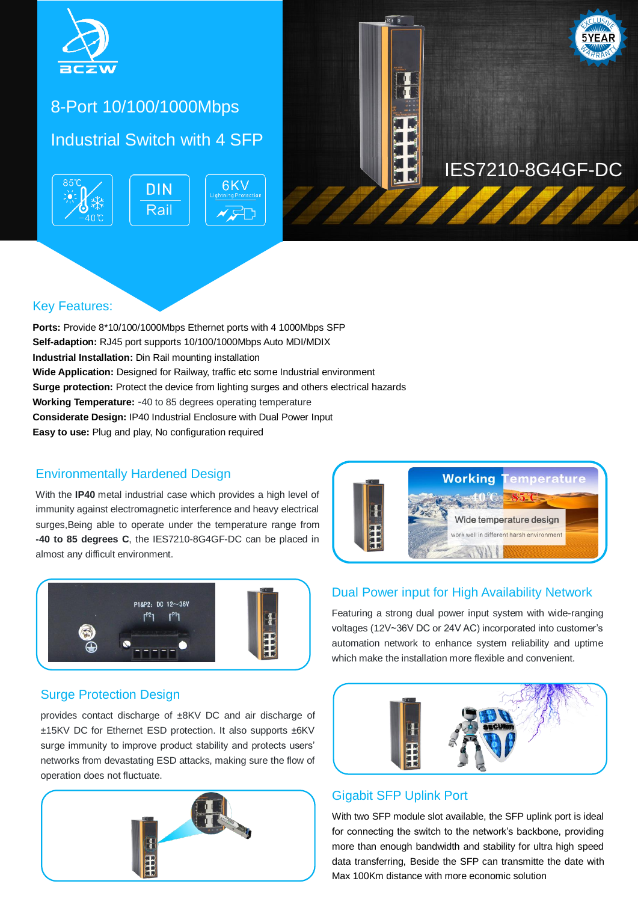

## 8-Port 10/100/1000Mbps

### Industrial Switch with 4 SFP





# IES7210-8G4GF-DC

#### Key Features:

Ports: Provide 8\*10/100/1000Mbps Ethernet ports with 4 1000Mbps SFP **Self-adaption:** RJ45 port supports 10/100/1000Mbps Auto MDI/MDIX **Industrial Installation:** Din Rail mounting installation **Wide Application:** Designed for Railway, traffic etc some Industrial environment **Surge protection:** Protect the device from lighting surges and others electrical hazards **Working Temperature:** -40 to 85 degrees operating temperature **Considerate Design:** IP40 Industrial Enclosure with Dual Power Input **Easy to use:** Plug and play, No configuration required

#### Environmentally Hardened Design

With the **IP40** metal industrial case which provides a high level of immunity against electromagnetic interference and heavy electrical surges,Being able to operate under the temperature range from **-40 to 85 degrees C**, the IES7210-8G4GF-DC can be placed in almost any difficult environment.



### **Working** emperatu Wide temperature design work well in different harsh environment

# Surge Protection Design

provides contact discharge of ±8KV DC and air discharge of ±15KV DC for Ethernet ESD protection. It also supports ±6KV surge immunity to improve product stability and protects users' networks from devastating ESD attacks, making sure the flow of operation does not fluctuate.



#### Dual Power input for High Availability Network

Featuring a strong dual power input system with wide-ranging voltages (12V~36V DC or 24V AC) incorporated into customer's automation network to enhance system reliability and uptime which make the installation more flexible and convenient.



#### Gigabit SFP Uplink Port

With two SFP module slot available, the SFP uplink port is ideal for connecting the switch to the network's backbone, providing more than enough bandwidth and stability for ultra high speed data transferring, Beside the SFP can transmitte the date with Max 100Km distance with more economic solution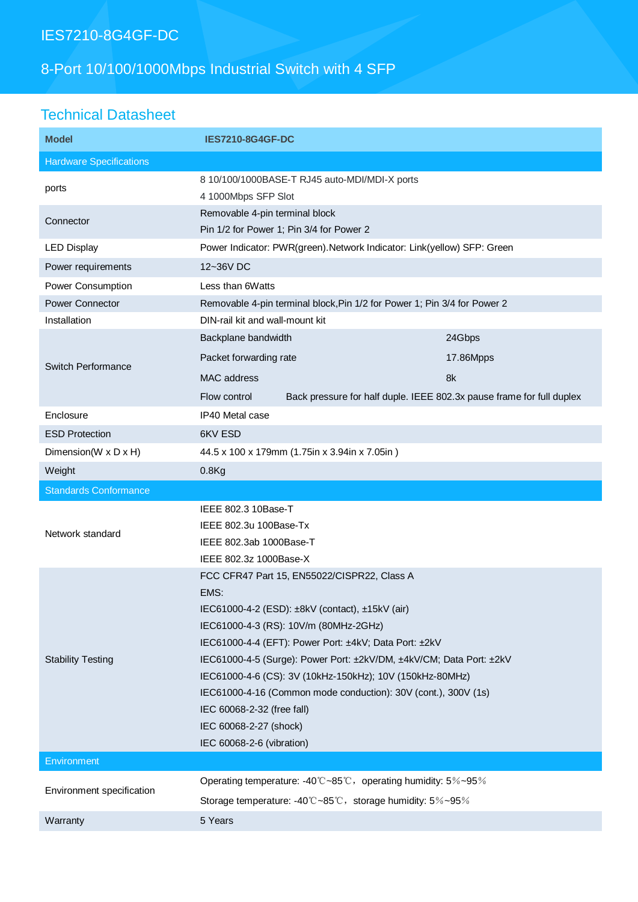## IES7210-8G4GF-DC

# 8-Port 10/100/1000Mbps Industrial Switch with 4 SFP

## Technical Datasheet

| <b>Model</b>                   | <b>IES7210-8G4GF-DC</b>                                                               |           |
|--------------------------------|---------------------------------------------------------------------------------------|-----------|
| <b>Hardware Specifications</b> |                                                                                       |           |
| ports                          | 8 10/100/1000BASE-T RJ45 auto-MDI/MDI-X ports<br>4 1000Mbps SFP Slot                  |           |
| Connector                      | Removable 4-pin terminal block                                                        |           |
|                                | Pin 1/2 for Power 1; Pin 3/4 for Power 2                                              |           |
| <b>LED Display</b>             | Power Indicator: PWR(green). Network Indicator: Link(yellow) SFP: Green               |           |
| Power requirements             | 12~36V DC                                                                             |           |
| Power Consumption              | Less than 6Watts                                                                      |           |
| Power Connector                | Removable 4-pin terminal block, Pin 1/2 for Power 1; Pin 3/4 for Power 2              |           |
| Installation                   | DIN-rail kit and wall-mount kit                                                       |           |
| <b>Switch Performance</b>      | Backplane bandwidth                                                                   | 24Gbps    |
|                                | Packet forwarding rate                                                                | 17.86Mpps |
|                                | MAC address                                                                           | 8k        |
|                                | Back pressure for half duple. IEEE 802.3x pause frame for full duplex<br>Flow control |           |
| Enclosure                      | IP40 Metal case                                                                       |           |
| <b>ESD Protection</b>          | 6KV ESD                                                                               |           |
| Dimension(W x D x H)           | 44.5 x 100 x 179mm (1.75in x 3.94in x 7.05in)                                         |           |
| Weight                         | $0.8$ Kg                                                                              |           |
|                                |                                                                                       |           |
| <b>Standards Conformance</b>   |                                                                                       |           |
|                                | IEEE 802.3 10Base-T                                                                   |           |
|                                | IEEE 802.3u 100Base-Tx                                                                |           |
| Network standard               | IEEE 802.3ab 1000Base-T                                                               |           |
|                                | IEEE 802.3z 1000Base-X                                                                |           |
|                                | FCC CFR47 Part 15, EN55022/CISPR22, Class A                                           |           |
|                                | EMS:                                                                                  |           |
|                                | IEC61000-4-2 (ESD): ±8kV (contact), ±15kV (air)                                       |           |
|                                | IEC61000-4-3 (RS): 10V/m (80MHz-2GHz)                                                 |           |
|                                | IEC61000-4-4 (EFT): Power Port: ±4kV; Data Port: ±2kV                                 |           |
| <b>Stability Testing</b>       | IEC61000-4-5 (Surge): Power Port: ±2kV/DM, ±4kV/CM; Data Port: ±2kV                   |           |
|                                | IEC61000-4-6 (CS): 3V (10kHz-150kHz); 10V (150kHz-80MHz)                              |           |
|                                | IEC61000-4-16 (Common mode conduction): 30V (cont.), 300V (1s)                        |           |
|                                | IEC 60068-2-32 (free fall)<br>IEC 60068-2-27 (shock)                                  |           |
|                                | IEC 60068-2-6 (vibration)                                                             |           |
| Environment                    |                                                                                       |           |
|                                | Operating temperature: -40°C~85°C, operating humidity: 5%~95%                         |           |
| Environment specification      | Storage temperature: -40°C~85°C, storage humidity: 5%~95%                             |           |
| Warranty                       | 5 Years                                                                               |           |